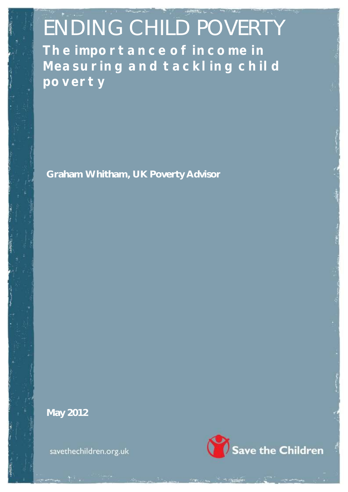ENDING CHILD POVERTY **The importance of income in Measuring and tackling child poverty**

**Graham Whitham, UK Poverty Advisor**

**May 2012**

savethechildren.org.uk

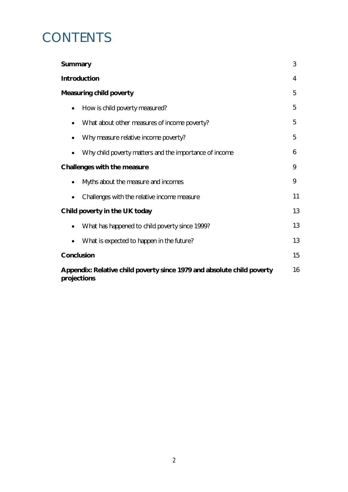# **CONTENTS**

| <b>Summary</b>                                                                              | 3  |  |  |
|---------------------------------------------------------------------------------------------|----|--|--|
| <b>Introduction</b>                                                                         | 4  |  |  |
| <b>Measuring child poverty</b>                                                              | 5  |  |  |
| How is child poverty measured?<br>$\bullet$                                                 | 5  |  |  |
| What about other measures of income poverty?                                                | 5  |  |  |
| Why measure relative income poverty?                                                        | 5  |  |  |
| Why child poverty matters and the importance of income                                      | 6  |  |  |
| Challenges with the measure                                                                 | 9  |  |  |
| Myths about the measure and incomes<br>$\bullet$                                            | 9  |  |  |
| Challenges with the relative income measure                                                 | 11 |  |  |
| Child poverty in the UK today                                                               | 13 |  |  |
| What has happened to child poverty since 1999?<br>$\bullet$                                 | 13 |  |  |
| What is expected to happen in the future?<br>$\bullet$                                      | 13 |  |  |
| <b>Conclusion</b>                                                                           | 15 |  |  |
| 16<br>Appendix: Relative child poverty since 1979 and absolute child poverty<br>projections |    |  |  |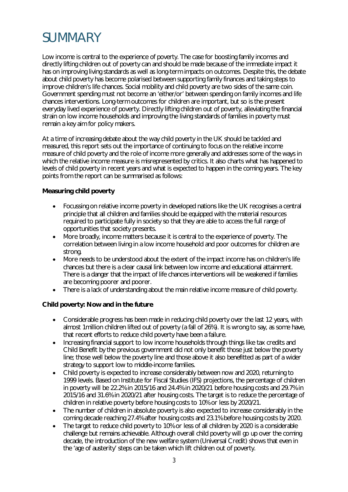# **SUMMARY**

Low income is central to the experience of poverty. The case for boosting family incomes and directly lifting children out of poverty can and should be made because of the immediate impact it has on improving living standards as well as long-term impacts on outcomes. Despite this, the debate about child poverty has become polarised between supporting family finances and taking steps to improve children's life chances. Social mobility and child poverty are two sides of the same coin. Government spending must not become an 'either/or' between spending on family incomes and life chances interventions. Long-term outcomes for children are important, but so is the present everyday lived experience of poverty. Directly lifting children out of poverty, alleviating the financial strain on low income households and improving the living standards of families in poverty must remain a key aim for policy makers.

At a time of increasing debate about the way child poverty in the UK should be tackled and measured, this report sets out the importance of continuing to focus on the relative income measure of child poverty and the role of income more generally and addresses some of the ways in which the relative income measure is misrepresented by critics. It also charts what has happened to levels of child poverty in recent years and what is expected to happen in the coming years. The key points from the report can be summarised as follows:

# **Measuring child poverty**

- Focussing on relative income poverty in developed nations like the UK recognises a central principle that all children and families should be equipped with the material resources required to participate fully in society so that they are able to access the full range of opportunities that society presents.
- More broadly, income matters because it is central to the experience of poverty. The correlation between living in a low income household and poor outcomes for children are strong.
- More needs to be understood about the extent of the impact income has on children's life chances but there is a clear causal link between low income and educational attainment. There is a danger that the impact of life chances interventions will be weakened if families are becoming poorer and poorer.
- There is a lack of understanding about the main relative income measure of child poverty.

# **Child poverty: Now and in the future**

- Considerable progress has been made in reducing child poverty over the last 12 years, with almost 1million children lifted out of poverty (a fall of 26%). It is wrong to say, as some have, that recent efforts to reduce child poverty have been a failure.
- Increasing financial support to low income households through things like tax credits and Child Benefit by the previous government did not only benefit those just below the poverty line; those well below the poverty line and those above it also benefitted as part of a wider strategy to support low to middle-income families.
- Child poverty is expected to increase considerably between now and 2020, returning to 1999 levels. Based on Institute for Fiscal Studies (IFS) projections, the percentage of children in poverty will be 22.2% in 2015/16 and 24.4% in 2020/21 before housing costs and 29.7% in 2015/16 and 31.6% in 2020/21 after housing costs. The target is to reduce the percentage of children in relative poverty before housing costs to 10% or less by 2020/21.
- The number of children in absolute poverty is also expected to increase considerably in the coming decade reaching 27.4% after housing costs and 23.1% before housing costs by 2020.
- The target to reduce child poverty to 10% or less of all children by 2020 is a considerable challenge but remains achievable. Although overall child poverty will go up over the coming decade, the introduction of the new welfare system (Universal Credit) shows that even in the 'age of austerity' steps can be taken which lift children out of poverty.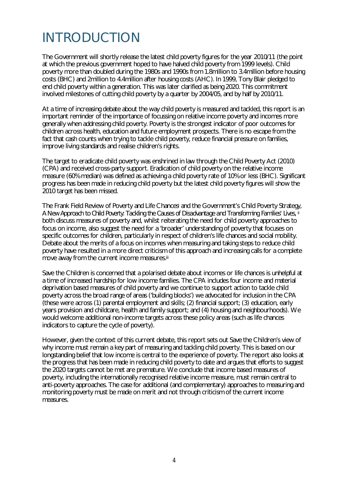# INTRODUCTION

The Government will shortly release the latest child poverty figures for the year 2010/11 (the point at which the previous government hoped to have halved child poverty from 1999 levels). Child poverty more than doubled during the 1980s and 1990s from 1.8million to 3.4million before housing costs (BHC) and 2million to 4.4million after housing costs (AHC). In 1999, Tony Blair pledged to end child poverty within a generation. This was later clarified as being 2020. This commitment involved milestones of cutting child poverty by a quarter by 2004/05, and by half by 2010/11.

At a time of increasing debate about the way child poverty is measured and tackled, this report is an important reminder of the importance of focussing on relative income poverty and incomes more generally when addressing child poverty. Poverty is the strongest indicator of poor outcomes for children across health, education and future employment prospects. There is no escape from the fact that cash counts when trying to tackle child poverty, reduce financial pressure on families, improve living standards and realise children's rights.

The target to eradicate child poverty was enshrined in law through the Child Poverty Act (2010) (CPA) and received cross-party support. Eradication of child poverty on the relative income measure (60% median) was defined as achieving a child poverty rate of 10% or less (BHC). Significant progress has been made in reducing child poverty but the latest child poverty figures will show the 2010 target has been missed.

The Frank Field Review of Poverty and Life Chances<sup>i</sup> and the Government's Child Poverty Strategy, *A New Approach to Child Poverty: Tackling the Causes of Disadvantage and Transforming Families' Lives,* ii both discuss measures of poverty and, whilst reiterating the need for child poverty approaches to focus on income, also suggest the need for a 'broader' understanding of poverty that focuses on specific outcomes for children, particularly in respect of children's life chances and social mobility. Debate about the merits of a focus on incomes when measuring and taking steps to reduce child poverty have resulted in a more direct criticism of this approach and increasing calls for a complete move away from the current income measures.iii

Save the Children is concerned that a polarised debate about incomes or life chances is unhelpful at a time of increased hardship for low income families. The CPA includes four income and material deprivation based measures of child poverty and we continue to support action to tackle child poverty across the broad range of areas ('building blocks') we advocated for inclusion in the CPA (these were across (1) parental employment and skills; (2) financial support; (3) education, early years provision and childcare, health and family support; and (4) housing and neighbourhoods). We would welcome additional non-income targets across these policy areas (such as life chances indicators to capture the cycle of poverty).

However, given the context of this current debate, this report sets out Save the Children's view of why income must remain a key part of measuring and tackling child poverty. This is based on our longstanding belief that low income is central to the experience of poverty. The report also looks at the progress that has been made in reducing child poverty to date and argues that efforts to suggest the 2020 targets cannot be met are premature. We conclude that income based measures of poverty, including the internationally recognised relative income measure, must remain central to anti-poverty approaches. The case for additional (and complementary) approaches to measuring and monitoring poverty must be made on merit and not through criticism of the current income measures.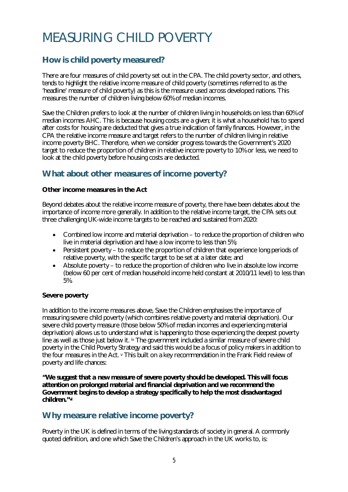# MEASURING CHILD POVERTY

# **How is child poverty measured?**

There are four measures of child poverty set out in the CPA. The child poverty sector, and others, tends to highlight the relative income measure of child poverty (sometimes referred to as the 'headline' measure of child poverty) as this is the measure used across developed nations. This measures the number of children living below 60% of median incomes.

Save the Children prefers to look at the number of children living in households on less than 60% of median incomes AHC. This is because housing costs are a given; it is what a household has to spend after costs for housing are deducted that gives a true indication of family finances. However, in the CPA the relative income measure and target refers to the number of children living in relative income poverty BHC. Therefore, when we consider progress towards the Government's 2020 target to reduce the proportion of children in relative income poverty to 10% or less, we need to look at the child poverty before housing costs are deducted.

# **What about other measures of income poverty?**

# **Other income measures in the Act**

Beyond debates about the relative income measure of poverty, there have been debates about the importance of income more generally. In addition to the relative income target, the CPA sets out three challenging UK-wide income targets to be reached and sustained from 2020:

- Combined low income and material deprivation to reduce the proportion of children who live in material deprivation and have a low income to less than 5%;
- Persistent poverty to reduce the proportion of children that experience long periods of relative poverty, with the specific target to be set at a later date; and
- Absolute poverty to reduce the proportion of children who live in absolute low income (below 60 per cent of median household income held constant at 2010/11 level) to less than 5%.

## **Severe poverty**

In addition to the income measures above, Save the Children emphasises the importance of measuring severe child poverty (which combines relative poverty and material deprivation). Our severe child poverty measure (those below 50% of median incomes and experiencing material deprivation) allows us to understand what is happening to those experiencing the deepest poverty line as well as those just below it. iv The government included a similar measure of severe child poverty in the Child Poverty Strategy and said this would be a focus of policy makers in addition to the four measures in the Act. v This built on a key recommendation in the Frank Field review of poverty and life chances:

*"We suggest that a new measure of severe poverty should be developed. This will focus attention on prolonged material and financial deprivation and we recommend the Government begins to develop a strategy specifically to help the most disadvantaged children."vi*

# **Why measure relative income poverty?**

Poverty in the UK is defined in terms of the living standards of society in general. A commonly quoted definition, and one which Save the Children's approach in the UK works to, is: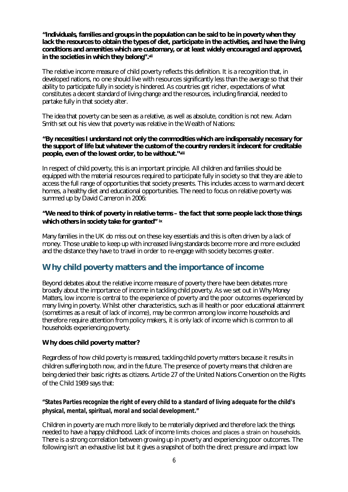#### *"Individuals, families and groups in the population can be said to be in poverty when they*  lack the resources to obtain the types of diet, participate in the activities, and have the living *conditions and amenities which are customary, or at least widely encouraged and approved, in the societies in which they belong".vii*

The relative income measure of child poverty reflects this definition. It is a recognition that, in developed nations, no one should live with resources significantly less than the average so that their ability to participate fully in society is hindered. As countries get richer, expectations of what constitutes a decent standard of living change and the resources, including financial, needed to partake fully in that society alter.

The idea that poverty can be seen as a relative, as well as absolute, condition is not new. Adam Smith set out his view that poverty was relative in the Wealth of Nations:

#### *"By necessities I understand not only the commodities which are indispensably necessary for the support of life but whatever the custom of the country renders it indecent for creditable people, even of the lowest order, to be without."viii*

In respect of child poverty, this is an important principle. All children and families should be equipped with the material resources required to participate fully in society so that they are able to access the full range of opportunities that society presents. This includes access to warm and decent homes, a healthy diet and educational opportunities. The need to focus on relative poverty was summed up by David Cameron in 2006:

## *"We need to think of poverty in relative terms – the fact that some people lack those things which others in society take for granted"* **ix**

Many families in the UK do miss out on these key essentials and this is often driven by a lack of money. Those unable to keep up with increased living standards become more and more excluded and the distance they have to travel in order to re-engage with society becomes greater.

# **Why child poverty matters and the importance of income**

Beyond debates about the relative income measure of poverty there have been debates more broadly about the importance of income in tackling child poverty. As we set out in *Why Money Matters*, low income is central to the experience of poverty and the poor outcomes experienced by many living in poverty. Whilst other characteristics, such as ill health or poor educational attainment (sometimes as a result of lack of income), may be common among low income households and therefore require attention from policy makers, it is only lack of income which is common to all households experiencing poverty.

## **Why does child poverty matter?**

Regardless of how child poverty is measured, tackling child poverty matters because it results in children suffering both now, and in the future. The presence of poverty means that children are being denied their basic rights as citizens. Article 27 of the United Nations Convention on the Rights of the Child 1989 says that:

# *"States Parties recognize the right of every child to a standard of living adequate for the child's physical, mental, spiritual, moral and social development."*

Children in poverty are much more likely to be materially deprived and therefore lack the things needed to have a happy childhood. Lack of income limits choices and places a strain on households. There is a strong correlation between growing up in poverty and experiencing poor outcomes. The following isn't an exhaustive list but it gives a snapshot of both the direct pressure and impact low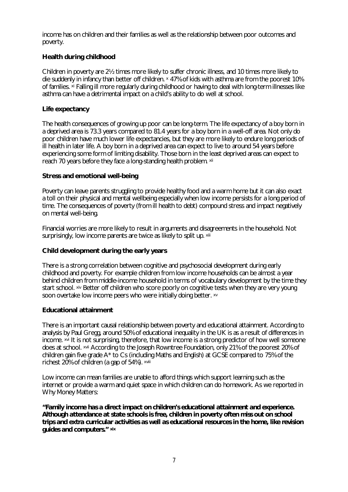income has on children and their families as well as the relationship between poor outcomes and poverty.

# **Health during childhood**

Children in poverty are 2½ times more likely to suffer chronic illness, and 10 times more likely to die suddenly in infancy than better off children. x 47% of kids with asthma are from the poorest 10% of families. xi Falling ill more regularly during childhood or having to deal with long-term illnesses like asthma can have a detrimental impact on a child's ability to do well at school.

## **Life expectancy**

The health consequences of growing up poor can be long-term. The life expectancy of a boy born in a deprived area is 73.3 years compared to 81.4 years for a boy born in a well-off area. Not only do poor children have much lower life expectancies, but they are more likely to endure long periods of ill health in later life. A boy born in a deprived area can expect to live to around 54 years before experiencing some form of limiting disability. Those born in the least deprived areas can expect to reach 70 years before they face a long-standing health problem. xii

## **Stress and emotional well-being**

Poverty can leave parents struggling to provide healthy food and a warm home but it can also exact a toll on their physical and mental wellbeing especially when low income persists for a long period of time. The consequences of poverty (from ill health to debt) compound stress and impact negatively on mental well-being.

Financial worries are more likely to result in arguments and disagreements in the household. Not surprisingly, low income parents are twice as likely to split up.  $x$ iii

## **Child development during the early years**

There is a strong correlation between cognitive and psychosocial development during early childhood and poverty. For example children from low income households can be almost a year behind children from middle-income household in terms of vocabulary development by the time they start school. Xiv Better off children who score poorly on cognitive tests when they are very young soon overtake low income peers who were initially doing better. xv

## **Educational attainment**

There is an important causal relationship between poverty and educational attainment. According to analysis by Paul Gregg, around 50% of educational inequality in the UK is as a result of differences in income. xvi It is not surprising, therefore, that low income is a strong predictor of how well someone does at school. xvii According to the Joseph Rowntree Foundation, only 21% of the poorest 20% of children gain five grade A\* to Cs (including Maths and English) at GCSE compared to 75% of the richest 20% of children (a gap of 54%). xviii

Low income can mean families are unable to afford things which support learning such as the internet or provide a warm and quiet space in which children can do homework. As we reported in Why Money Matters:

*"Family income has a direct impact on children's educational attainment and experience. Although attendance at state schools is free, children in poverty often miss out on school trips and extra curricular activities as well as educational resources in the home, like revision guides and computers." xix*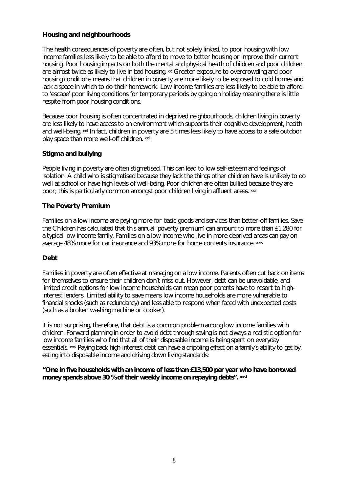# **Housing and neighbourhoods**

The health consequences of poverty are often, but not solely linked, to poor housing with low income families less likely to be able to afford to move to better housing or improve their current housing. Poor housing impacts on both the mental and physical health of children and poor children are almost twice as likely to live in bad housing. xx Greater exposure to overcrowding and poor housing conditions means that children in poverty are more likely to be exposed to cold homes and lack a space in which to do their homework. Low income families are less likely to be able to afford to 'escape' poor living conditions for temporary periods by going on holiday meaning there is little respite from poor housing conditions.

Because poor housing is often concentrated in deprived neighbourhoods, children living in poverty are less likely to have access to an environment which supports their cognitive development, health and well-being. xxi In fact, children in poverty are 5 times less likely to have access to a safe outdoor play space than more well-off children. xxii

# **Stigma and bullying**

People living in poverty are often stigmatised. This can lead to low self-esteem and feelings of isolation. A child who is stigmatised because they lack the things other children have is unlikely to do well at school or have high levels of well-being. Poor children are often bullied because they are poor; this is particularly common amongst poor children living in affluent areas. xxiii

# **The Poverty Premium**

Families on a low income are paying more for basic goods and services than better-off families. Save the Children has calculated that this annual 'poverty premium' can amount to more than £1,280 for a typical low income family. Families on a low income who live in more deprived areas can pay on average 48% more for car insurance and 93% more for home contents insurance. xxiv

## **Debt**

Families in poverty are often effective at managing on a low income. Parents often cut back on items for themselves to ensure their children don't miss out. However, debt can be unavoidable, and limited credit options for low income households can mean poor parents have to resort to highinterest lenders. Limited ability to save means low income households are more vulnerable to financial shocks (such as redundancy) and less able to respond when faced with unexpected costs (such as a broken washing machine or cooker).

It is not surprising, therefore, that debt is a common problem among low income families with children. Forward planning in order to avoid debt through saving is not always a realistic option for low income families who find that all of their disposable income is being spent on everyday essentials. xxv Paying back high-interest debt can have a crippling effect on a family's ability to get by, eating into disposable income and driving down living standards:

## *"One in five households with an income of less than £13,500 per year who have borrowed money spends above 30 % of their weekly income on repaying debts". xxvi*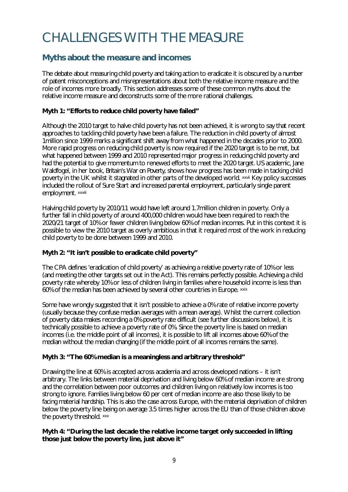# CHALLENGES WITH THE MEASURE

# **Myths about the measure and incomes**

The debate about measuring child poverty and taking action to eradicate it is obscured by a number of patent misconceptions and misrepresentations about both the relative income measure and the role of incomes more broadly. This section addresses some of these common myths about the relative income measure and deconstructs some of the more rational challenges.

# **Myth 1: "Efforts to reduce child poverty have failed"**

Although the 2010 target to halve child poverty has not been achieved, it is wrong to say that recent approaches to tackling child poverty have been a failure. The reduction in child poverty of almost 1million since 1999 marks a significant shift away from what happened in the decades prior to 2000. More rapid progress on reducing child poverty is now required if the 2020 target is to be met, but what happened between 1999 and 2010 represented major progress in reducing child poverty and had the potential to give momentum to renewed efforts to meet the 2020 target. US academic, Jane Waldfogel, in her book, *Britain's War on Poverty*, shows how progress has been made in tacking child poverty in the UK whilst it stagnated in other parts of the developed world. xxvii Key policy successes included the rollout of Sure Start and increased parental employment, particularly single parent employment. xxviii

Halving child poverty by 2010/11 would have left around 1.7million children in poverty. Only a further fall in child poverty of around 400,000 children would have been required to reach the 2020/21 target of 10% or fewer children living below 60% of median incomes. Put in this context it is possible to view the 2010 target as overly ambitious in that it required most of the work in reducing child poverty to be done between 1999 and 2010.

# **Myth 2: "It isn't possible to eradicate child poverty"**

The CPA defines 'eradication of child poverty' as achieving a relative poverty rate of 10% or less (and meeting the other targets set out in the Act). This remains perfectly possible. Achieving a child poverty rate whereby 10% or less of children living in families where household income is less than 60% of the median has been achieved by several other countries in Europe. xxix

Some have wrongly suggested that it isn't possible to achieve a 0% rate of relative income poverty (usually because they confuse median averages with a mean average). Whilst the current collection of poverty data makes recording a 0% poverty rate difficult (see further discussions below), it is technically possible to achieve a poverty rate of 0%. Since the poverty line is based on median incomes (i.e. the middle point of all incomes), it is possible to lift all incomes above 60% of the median without the median changing (if the middle point of all incomes remains the same).

# **Myth 3: "The 60% median is a meaningless and arbitrary threshold"**

Drawing the line at 60% is accepted across academia and across developed nations – it isn't arbitrary. The links between material deprivation and living below 60% of median income are strong and the correlation between poor outcomes and children living on relatively low incomes is too strong to ignore. Families living below 60 per cent of median income are also those likely to be facing material hardship. This is also the case across Europe, with the material deprivation of children below the poverty line being on average 3.5 times higher across the EU than of those children above the poverty threshold. xxx

## **Myth 4: "During the last decade the relative income target only succeeded in lifting those just below the poverty line, just above it"**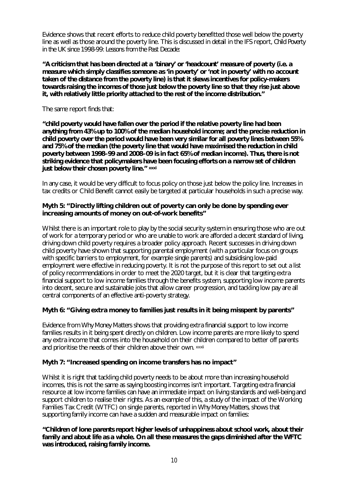Evidence shows that recent efforts to reduce child poverty benefitted those well below the poverty line as well as those around the poverty line. This is discussed in detail in the IFS report, *Child Poverty in the UK since 1998-99: Lessons from the Past Decade*:

*"A criticism that has been directed at a 'binary' or 'headcount' measure of poverty (i.e. a measure which simply classifies someone as 'in poverty' or 'not in poverty' with no account taken of the distance from the poverty line) is that it skews incentives for policy-makers towards raising the incomes of those just below the poverty line so that they rise just above it, with relatively little priority attached to the rest of the income distribution."*

The same report finds that:

*"child poverty would have fallen over the period if the relative poverty line had been anything from 43% up to 100% of the median household income; and the precise reduction in child poverty over the period would have been very similar for all poverty lines between 55% and 75% of the median (the poverty line that would have maximised the reduction in child poverty between 1998–99 and 2008–09 is in fact 65% of median income). Thus, there is not striking evidence that policymakers have been focusing efforts on a narrow set of children just below their chosen poverty line."* **xxxi**

In any case, it would be very difficult to focus policy on those just below the policy line. Increases in tax credits or Child Benefit cannot easily be targeted at particular households in such a precise way.

#### **Myth 5: "Directly lifting children out of poverty can only be done by spending ever increasing amounts of money on out-of-work benefits"**

Whilst there is an important role to play by the social security system in ensuring those who are out of work for a temporary period or who are unable to work are afforded a decent standard of living, driving down child poverty requires a broader policy approach. Recent successes in driving down child poverty have shown that supporting parental employment (with a particular focus on groups with specific barriers to employment, for example single parents) and subsidising low-paid employment were effective in reducing poverty. It is not the purpose of this report to set out a list of policy recommendations in order to meet the 2020 target, but it is clear that targeting extra financial support to low income families through the benefits system, supporting low income parents into decent, secure and sustainable jobs that allow career progression, and tackling low pay are all central components of an effective anti-poverty strategy.

## **Myth 6: "Giving extra money to families just results in it being misspent by parents"**

Evidence from *Why Money Matters* shows that providing extra financial support to low income families results in it being spent directly on children. Low income parents are more likely to spend any extra income that comes into the household on their children compared to better off parents and prioritise the needs of their children above their own. xxxii

## **Myth 7: "Increased spending on income transfers has no impact"**

Whilst it is right that tackling child poverty needs to be about more than increasing household incomes, this is not the same as saying boosting incomes isn't important. Targeting extra financial resource at low income families can have an immediate impact on living standards and well-being and support children to realise their rights. As an example of this, a study of the impact of the Working Families Tax Credit (WTFC) on single parents, reported in *Why Money Matters,* shows that supporting family income can have a sudden and measurable impact on families:

## *"Children of lone parents report higher levels of unhappiness about school work, about their family and about life as a whole. On all these measures the gaps diminished after the WFTC was introduced, raising family income.*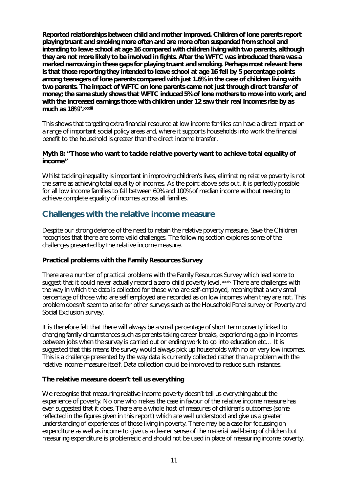*Reported relationships between child and mother improved. Children of lone parents report playing truant and smoking more often and are more often suspended from school and intending to leave school at age 16 compared with children living with two parents, although they are not more likely to be involved in fights. After the WFTC was introduced there was a marked narrowing in these gaps for playing truant and smoking. Perhaps most relevant here is that those reporting they intended to leave school at age 16 fell by 5 percentage points among teenagers of lone parents compared with just 1.6% in the case of children living with two parents. The impact of WFTC on lone parents came not just through direct transfer of money; the same study shows that WFTC induced 5% of lone mothers to move into work, and with the increased earnings those with children under 12 saw their real incomes rise by as much as 18%".xxxiii*

This shows that targeting extra financial resource at low income families can have a direct impact on a range of important social policy areas and, where it supports households into work the financial benefit to the household is greater than the direct income transfer.

#### **Myth 8: "Those who want to tackle relative poverty want to achieve total equality of income"**

Whilst tackling inequality is important in improving children's lives, eliminating relative poverty is not the same as achieving total equality of incomes. As the point above sets out, it is perfectly possible for all low income families to fall between 60% and 100% of median income without needing to achieve complete equality of incomes across all families.

# **Challenges with the relative income measure**

Despite our strong defence of the need to retain the relative poverty measure, Save the Children recognises that there are some valid challenges. The following section explores some of the challenges presented by the relative income measure.

## **Practical problems with the Family Resources Survey**

There are a number of practical problems with the Family Resources Survey which lead some to suggest that it could never actually record a zero child poverty level. xxxiv There are challenges with the way in which the data is collected for those who are self-employed, meaning that a very small percentage of those who are self employed are recorded as on low incomes when they are not. This problem doesn't seem to arise for other surveys such as the Household Panel survey or Poverty and Social Exclusion survey.

It is therefore felt that there will always be a small percentage of short term poverty linked to changing family circumstances such as parents taking career breaks, experiencing a gap in incomes between jobs when the survey is carried out or ending work to go into education etc… It is suggested that this means the survey would always pick up households with no or very low incomes. This is a challenge presented by the way data is currently collected rather than a problem with the relative income measure itself. Data collection could be improved to reduce such instances.

## **The relative measure doesn't tell us everything**

We recognise that measuring relative income poverty doesn't tell us everything about the experience of poverty. No one who makes the case in favour of the relative income measure has ever suggested that it does. There are a whole host of measures of children's outcomes (some reflected in the figures given in this report) which are well understood and give us a greater understanding of experiences of those living in poverty. There may be a case for focussing on expenditure as well as income to give us a clearer sense of the material well-being of children but measuring expenditure is problematic and should not be used in place of measuring income poverty.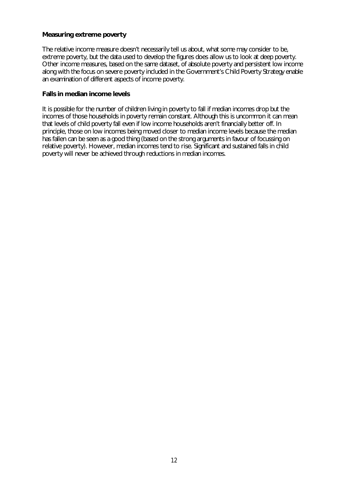#### **Measuring extreme poverty**

The relative income measure doesn't necessarily tell us about, what some may consider to be, extreme poverty, but the data used to develop the figures does allow us to look at deep poverty. Other income measures, based on the same dataset, of absolute poverty and persistent low income along with the focus on severe poverty included in the Government's Child Poverty Strategy enable an examination of different aspects of income poverty.

#### **Falls in median income levels**

It is possible for the number of children living in poverty to fall if median incomes drop but the incomes of those households in poverty remain constant. Although this is uncommon it can mean that levels of child poverty fall even if low income households aren't financially better off. In principle, those on low incomes being moved closer to median income levels because the median has fallen can be seen as a good thing (based on the strong arguments in favour of focussing on relative poverty). However, median incomes tend to rise. Significant and sustained falls in child poverty will never be achieved through reductions in median incomes.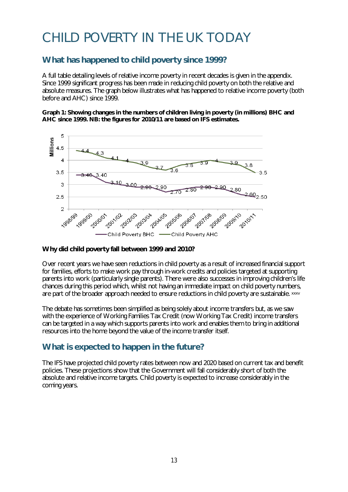# CHILD POVERTY IN THE UK TODAY

# **What has happened to child poverty since 1999?**

A full table detailing levels of relative income poverty in recent decades is given in the appendix. Since 1999 significant progress has been made in reducing child poverty on both the relative and absolute measures. The graph below illustrates what has happened to relative income poverty (both before and AHC) since 1999.

#### **Graph 1: Showing changes in the numbers of children living in poverty (in millions) BHC and AHC since 1999. NB: the figures for 2010/11 are based on IFS estimates.**



## **Why did child poverty fall between 1999 and 2010?**

Over recent years we have seen reductions in child poverty as a result of increased financial support for families, efforts to make work pay through in-work credits and policies targeted at supporting parents into work (particularly single parents). There were also successes in improving children's life chances during this period which, whilst not having an immediate impact on child poverty numbers, are part of the broader approach needed to ensure reductions in child poverty are sustainable. xxxv

The debate has sometimes been simplified as being solely about income transfers but, as we saw with the experience of Working Families Tax Credit (now Working Tax Credit) income transfers can be targeted in a way which supports parents into work and enables them to bring in additional resources into the home beyond the value of the income transfer itself.

# **What is expected to happen in the future?**

The IFS have projected child poverty rates between now and 2020 based on current tax and benefit policies. These projections show that the Government will fall considerably short of both the absolute and relative income targets. Child poverty is expected to increase considerably in the coming years.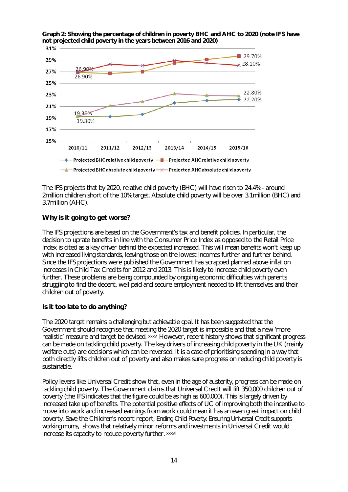

**Graph 2: Showing the percentage of children in poverty BHC and AHC to 2020 (note IFS have not projected child poverty in the years between 2016 and 2020)**

The IFS projects that by 2020, relative child poverty (BHC) will have risen to 24.4% - around 2million children short of the 10% target. Absolute child poverty will be over 3.1million (BHC) and 3.7million (AHC).

## **Why is it going to get worse?**

The IFS projections are based on the Government's tax and benefit policies. In particular, the decision to uprate benefits in line with the Consumer Price Index as opposed to the Retail Price Index is cited as a key driver behind the expected increased. This will mean benefits won't keep up with increased living standards, leaving those on the lowest incomes further and further behind. Since the IFS projections were published the Government has scrapped planned above inflation increases in Child Tax Credits for 2012 and 2013. This is likely to increase child poverty even further. These problems are being compounded by ongoing economic difficulties with parents struggling to find the decent, well paid and secure employment needed to lift themselves and their children out of poverty.

# **Is it too late to do anything?**

The 2020 target remains a challenging but achievable goal. It has been suggested that the Government should recognise that meeting the 2020 target is impossible and that a new 'more realistic' measure and target be devised. xxxvi However, recent history shows that significant progress can be made on tackling child poverty. The key drivers of increasing child poverty in the UK (mainly welfare cuts) are decisions which can be reversed. It is a case of prioritising spending in a way that both directly lifts children out of poverty and also makes sure progress on reducing child poverty is sustainable.

Policy levers like Universal Credit show that, even in the age of austerity, progress can be made on tackling child poverty. The Government claims that Universal Credit will lift 350,000 children out of poverty (the IFS indicates that the figure could be as high as 600,000). This is largely driven by increased take up of benefits. The potential positive effects of UC of improving both the incentive to move into work and increased earnings from work could mean it has an even great impact on child poverty. Save the Children's recent report, *Ending Child Poverty: Ensuring Universal Credit supports working mums,* shows that relatively minor reforms and investments in Universal Credit would increase its capacity to reduce poverty further. xxxvii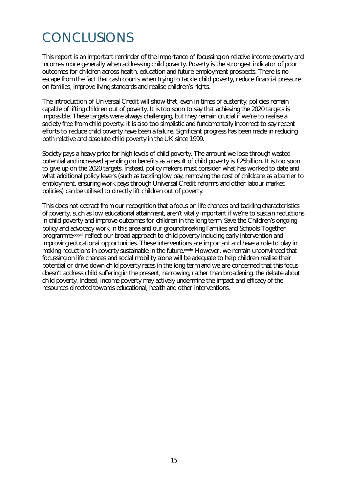# CONCLUSIONS

This report is an important reminder of the importance of focussing on relative income poverty and incomes more generally when addressing child poverty. Poverty is the strongest indicator of poor outcomes for children across health, education and future employment prospects. There is no escape from the fact that cash counts when trying to tackle child poverty, reduce financial pressure on families, improve living standards and realise children's rights.

The introduction of Universal Credit will show that, even in times of austerity, policies remain capable of lifting children out of poverty. It is too soon to say that achieving the 2020 targets is impossible. These targets were always challenging, but they remain crucial if we're to realise a society free from child poverty. It is also too simplistic and fundamentally incorrect to say recent efforts to reduce child poverty have been a failure. Significant progress has been made in reducing both relative and absolute child poverty in the UK since 1999.

Society pays a heavy price for high levels of child poverty. The amount we lose through wasted potential and increased spending on benefits as a result of child poverty is £25billion. It is too soon to give up on the 2020 targets. Instead, policy makers must consider what has worked to date and what additional policy levers (such as tackling low pay, removing the cost of childcare as a barrier to employment, ensuring work pays through Universal Credit reforms and other labour market policies) can be utilised to directly lift children out of poverty.

This does not detract from our recognition that a focus on life chances and tackling characteristics of poverty, such as low educational attainment, aren't vitally important if we're to sustain reductions in child poverty and improve outcomes for children in the long term. Save the Children's ongoing policy and advocacy work in this area and our groundbreaking Families and Schools Together programmexxxviii reflect our broad approach to child poverty including early intervention and improving educational opportunities. These interventions are important and have a role to play in making reductions in poverty sustainable in the future.xxxix However, we remain unconvinced that focussing on life chances and social mobility alone will be adequate to help children realise their potential or drive down child poverty rates in the long-term and we are concerned that this focus doesn't address child suffering in the present, narrowing, rather than broadening, the debate about child poverty. Indeed, income poverty may actively undermine the impact and efficacy of the resources directed towards educational, health and other interventions.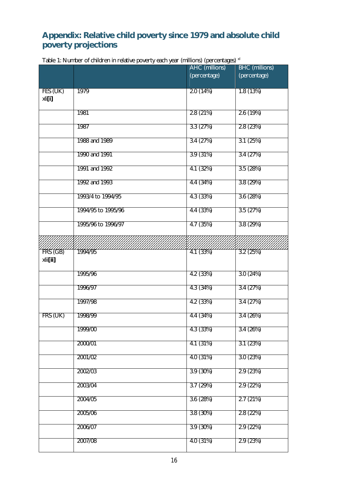# **Appendix: Relative child poverty since 1979 and absolute child poverty projections**

|                      | rable r. ivurniber of children in relative poverty each year (fillinoris) (percentages) | AHC (millions) | <b>BHC</b> (millions) |
|----------------------|-----------------------------------------------------------------------------------------|----------------|-----------------------|
|                      |                                                                                         | (percentage)   | (percentage)          |
| FES (UK)<br>xli[i]   | 1979                                                                                    | 2.0(14%)       | 1.8(13%)              |
|                      | 1981                                                                                    | 2.8(21%)       | 2.6(19%)              |
|                      | 1987                                                                                    | 3.3(27%)       | 2.8(23%)              |
|                      | 1988 and 1989                                                                           | 3.4(27%)       | 3.1(25%)              |
|                      | 1990 and 1991                                                                           | 3.9(31%)       | 3.4(27%)              |
|                      | 1991 and 1992                                                                           | 4.1(32%)       | 3.5(28%)              |
|                      | 1992 and 1993                                                                           | 4.4 (34%)      | 3.8(29%)              |
|                      | 1993/4 to 1994/95                                                                       | 4.3(33%)       | 3.6(28%)              |
|                      | 1994/95 to 1995/96                                                                      | 4.4 (33%)      | 3.5(27%)              |
|                      | 1995/96 to 1996/97                                                                      | 4.7(35%)       | 3.8(29%)              |
|                      |                                                                                         |                |                       |
| FRS (GB)<br>xlii[ii] | 1994/95                                                                                 | 4.1(33%)       | 3.2(25%)              |
|                      | 1995/96                                                                                 | 4.2 (33%)      | 3.0(24%)              |
|                      | 1996/97                                                                                 | 4.3 (34%)      | 3.4(27%)              |
|                      | 1997/98                                                                                 | 4.2(33%)       | 3.4(27%)              |
| FRS (UK)             | 1998/99                                                                                 | 4.4 (34%)      | 3.4(26%)              |
|                      | 1999/00                                                                                 | 4.3 (33%)      | 3.4(26%)              |
|                      | 2000/01                                                                                 | 4.1(31%)       | 3.1(23%)              |
|                      | 2001/02                                                                                 | 4.0 (31%)      | 3.0(23%)              |
|                      | 2002/03                                                                                 | 3.9(30%)       | 2.9(23%)              |
|                      | 2003/04                                                                                 | 3.7(29%)       | 2.9(22%)              |
|                      | 2004/05                                                                                 | 3.6(28%)       | 2.7(21%)              |
|                      | 2005/06                                                                                 | 3.8 (30%)      | 2.8 (22%)             |
|                      | 2006/07                                                                                 | 3.9(30%)       | 2.9(22%)              |
|                      | 2007/08                                                                                 | 4.0 (31%)      | 2.9(23%)              |

Table 1: Number of children in relative poverty each year (millions) (percentages) xl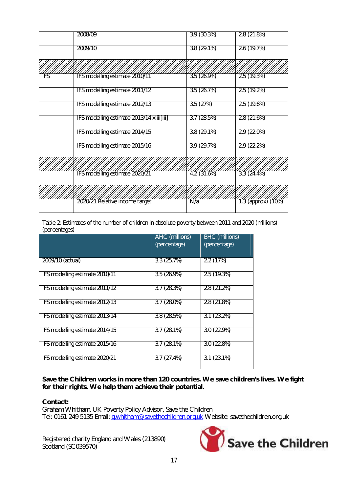| 2008/09                                   | 3.9(30.3%)               | 2.8(21.8%)               |
|-------------------------------------------|--------------------------|--------------------------|
| 2009/10                                   | $3.8(29.1\%)$            | 2.6(19.7%)               |
|                                           |                          |                          |
| IFS modelling estimate 2010/11            | $\overline{3.5}$ (26.9%) | $\overline{2.5}$ (19.3%) |
| IFS modelling estimate 2011/12            | 3.5(26.7%)               | 2.5(19.2%)               |
| IFS modelling estimate 2012/13            | 3.5(27%)                 | 2.5(19.6%)               |
| IFS modelling estimate 2013/14 xliii[iii] | 3.7(28.5%)               | 2.8(21.6%)               |
| IFS modelling estimate 2014/15            | $3.8(29.1\%)$            | 2.9(22.0%)               |
| IFS modelling estimate 2015/16            | 3.9(29.7%)               | 2.9(22.2%)               |
|                                           |                          |                          |
| IFS modelling estimate 2020/21            | $\frac{777}{12}$ (31.6%) | 3.3(24.4%)               |
|                                           |                          |                          |
| 2020/21 Relative income target            | $\overline{N/a}$         | 1.3 (approx) (10%)       |
|                                           |                          |                          |

Table 2: Estimates of the number of children in absolute poverty between 2011 and 2020 (millions) (percentages)

|                                | <b>AHC</b> (millions)<br>(percentage) | <b>BHC</b> (millions)<br>(percentage) |
|--------------------------------|---------------------------------------|---------------------------------------|
| 2009/10 (actual)               | 3.3(25.7%)                            | 2.2(17%)                              |
| IFS modelling estimate 2010/11 | 3.5(26.9%)                            | 2.5(19.3%)                            |
| IFS modelling estimate 2011/12 | 3.7(28.3%)                            | 2.8(21.2%)                            |
| IFS modelling estimate 2012/13 | $3.7(28.0\%)$                         | 2.8(21.8%)                            |
| IFS modelling estimate 2013/14 | 3.8(28.5%)                            | 3.1(23.2%)                            |
| IFS modelling estimate 2014/15 | 3.7(28.1%)                            | 3.0(22.9%)                            |
| IFS modelling estimate 2015/16 | 3.7(28.1%)                            | 3.0(22.8%)                            |
| IFS modelling estimate 2020/21 | 3.7(27.4%)                            | $3.1(23.1\%)$                         |

**Save the Children works in more than 120 countries. We save children's lives. We fight for their rights. We help them achieve their potential.**

#### **Contact:**

Graham Whitham, UK Poverty Policy Advisor, Save the Children Tel: 0161 249 5135 Email: <u>g.whitham@savethechildren.org.uk</u> Website: savethechildren.org.uk

Registered charity England and Wales (213890) Scotland (SC039570)

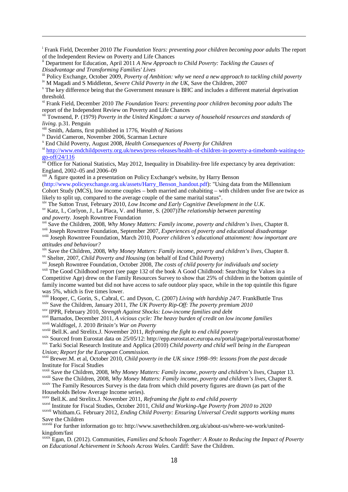<sup>i</sup> Frank Field, December 2010 *The Foundation Years: preventing poor children becoming poor adults* The report of the Independent Review on Poverty and Life Chances

ii Department for Education, April 2011 *A New Approach to Child Poverty: Tackling the Causes of Disadvantage and Transforming Families' Lives*

iii Policy Exchange, October 2009, *Poverty of Ambition: why we need a new approach to tackling child poverty*

iv M Magadi and S Middleton, *Severe Child Poverty in the UK*, Save the Children, 2007

<sup>v</sup> The key difference being that the Government measure is BHC and includes a different material deprivation threshold.

vi Frank Field, December 2010 *The Foundation Years: preventing poor children becoming poor adults* The report of the Independent Review on Poverty and Life Chances

vii Townsend, P. (1979) *Poverty in the United Kingdom: a survey of household resources and standards of living*. p.31. Penguin

viii Smith, Adams, first published in 1776, *Wealth of Nations*

ix David Cameron, November 2006, Scarman Lecture

 $\overline{\phantom{a}}$ 

x End Child Poverty, August 2008, *Health Consequences of Poverty for Children*

xi http://www.endchildpoverty.org.uk/news/press-releases/health-of-children-in-poverty-a-timebomb-waiting-togo-off/24/116

<sup>xii</sup> Office for National Statistics, May 2012, Inequality in Disability-free life expectancy by area deprivation: England, 2002–05 and 2006–09

<sup>xiii</sup> A figure quoted in a presentation on Policy Exchange's website, by Harry Benson

(http://www.policyexchange.org.uk/assets/Harry\_Benson\_handout.pdf): "Using data from the Millennium Cohort Study (MCS), low income couples – both married and cohabiting – with children under five are twice as likely to split up, compared to the average couple of the same marital status".

xiv The Sutton Trust, February 2010, *Low Income and Early Cognitive Development in the U.K*. xv Katz, I., Corlyon, J., La Placa, V. and Hunter, S. (2007)*The relationship between parenting and poverty*. Joseph Rowntree Foundation

xvi Save the Children, 2008, *Why Money Matters: Family income, poverty and children's lives*, Chapter 8.

xvii Joseph Rowntree Foundation, September 2007, *Experiences of poverty and educational disadvantage* xviii Joseph Rowntree Foundation, March 2010, *Poorer children's educational attainment: how important are attitudes and behaviour?*

xix Save the Children, 2008, *Why Money Matters: Family income, poverty and children's lives*, Chapter 8. xx Shelter, 2007, *Child Poverty and Housing* (on behalf of End Child Poverty)

xxi Joseph Rowntree Foundation, October 2008, *The costs of child poverty for individuals and society*

<sup>xxii</sup> The Good Childhood report (see page 132 of the book A Good Childhood: Searching for Values in a Competitive Age) drew on the Family Resources Survey to show that 25% of children in the bottom quintile of family income wanted but did not have access to safe outdoor play space, while in the top quintile this figure was 5%, which is five times lower.

xxiii Hooper, C, Gorin, S., Cabral, C. and Dyson, C. (2007) *Living with hardship 24/7*. FrankButtle Trus

xxiv Save the Children, January 2011, *The UK Poverty Rip-Off: The poverty premium 2010*

xxv IPPR, February 2010, *Strength Against Shocks: Low-income families and debt*

xxvi Barnados, December 2011, *A vicious cycle: The heavy burden of credit on low income families*

xxvii Waldfogel, J. 2010 *Britain's War on Poverty*

xxviii Bell.K. and Strelitx.J. November 2011, *Reframing the fight to end child poverty*

xxix Sourced from Eurostat data on 25/05/12: http://epp.eurostat.ec.europa.eu/portal/page/portal/eurostat/home/

xxx Tarki Social Research Institute and Applica (2010) *Child poverty and child well being in the European Union; Report for the European Commission.*

xxxi Brewer.M. et al, October 2010, *Child poverty in the UK since 1998–99: lessons from the past decade* Institute for Fiscal Studies

xxxii Save the Children, 2008, *Why Money Matters: Family income, poverty and children's lives*, Chapter 13. xxxiii Save the Children, 2008, *Why Money Matters: Family income, poverty and children's lives*, Chapter 8.

xxxiv The Family Resources Survey is the data from which child poverty figures are drawn (as part of the Households Below Average Income series).

xxxv Bell.K. and Strelitx.J. November 2011, *Reframing the fight to end child poverty* 

xxxvi Institute for Fiscal Studies, October 2011*, Child and Working-Age Poverty from 2010 to 2020* xxxvii Whitham.G. February 2012, *Ending Child Poverty: Ensuring Universal Credit supports working mums* Save the Children

xxxviii For further information go to: http://www.savethechildren.org.uk/about-us/where-we-work/unitedkingdom/fast

xxxix Egan, D. (2012). Communities, *Families and Schools Together: A Route to Reducing the Impact of Poverty on Educational Achievement in Schools Across Wales*. Cardiff: Save the Children.